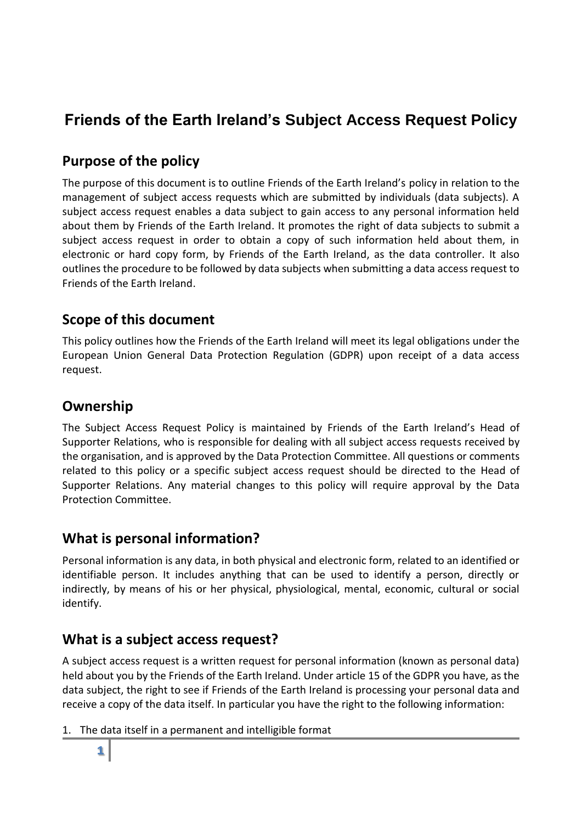# **Friends of the Earth Ireland's Subject Access Request Policy**

#### **Purpose of the policy**

The purpose of this document is to outline Friends of the Earth Ireland's policy in relation to the management of subject access requests which are submitted by individuals (data subjects). A subject access request enables a data subject to gain access to any personal information held about them by Friends of the Earth Ireland. It promotes the right of data subjects to submit a subject access request in order to obtain a copy of such information held about them, in electronic or hard copy form, by Friends of the Earth Ireland, as the data controller. It also outlines the procedure to be followed by data subjects when submitting a data access request to Friends of the Earth Ireland.

#### **Scope of this document**

This policy outlines how the Friends of the Earth Ireland will meet its legal obligations under the European Union General Data Protection Regulation (GDPR) upon receipt of a data access request.

## **Ownership**

The Subject Access Request Policy is maintained by Friends of the Earth Ireland's Head of Supporter Relations, who is responsible for dealing with all subject access requests received by the organisation, and is approved by the Data Protection Committee. All questions or comments related to this policy or a specific subject access request should be directed to the Head of Supporter Relations. Any material changes to this policy will require approval by the Data Protection Committee.

#### **What is personal information?**

Personal information is any data, in both physical and electronic form, related to an identified or identifiable person. It includes anything that can be used to identify a person, directly or indirectly, by means of his or her physical, physiological, mental, economic, cultural or social identify.

#### **What is a subject access request?**

A subject access request is a written request for personal information (known as personal data) held about you by the Friends of the Earth Ireland. Under article 15 of the GDPR you have, as the data subject, the right to see if Friends of the Earth Ireland is processing your personal data and receive a copy of the data itself. In particular you have the right to the following information:

1. The data itself in a permanent and intelligible format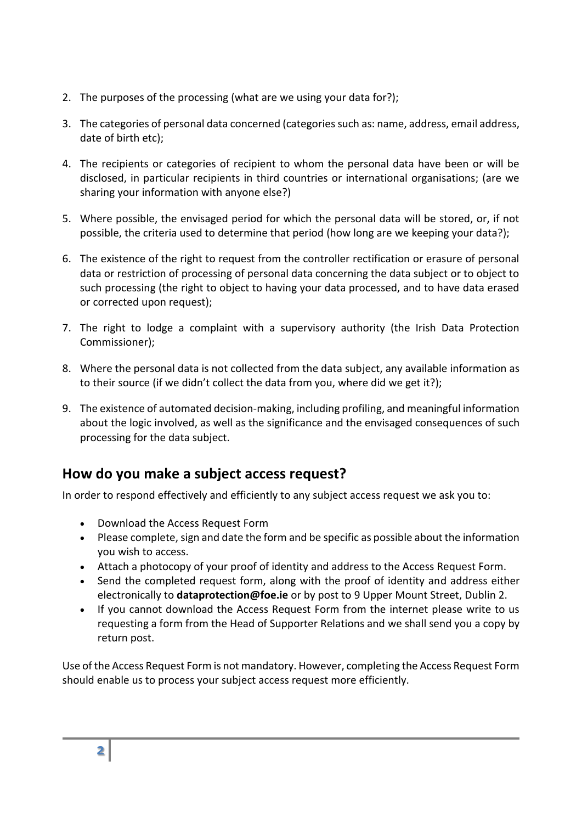- 2. The purposes of the processing (what are we using your data for?);
- 3. The categories of personal data concerned (categories such as: name, address, email address, date of birth etc);
- 4. The recipients or categories of recipient to whom the personal data have been or will be disclosed, in particular recipients in third countries or international organisations; (are we sharing your information with anyone else?)
- 5. Where possible, the envisaged period for which the personal data will be stored, or, if not possible, the criteria used to determine that period (how long are we keeping your data?);
- 6. The existence of the right to request from the controller rectification or erasure of personal data or restriction of processing of personal data concerning the data subject or to object to such processing (the right to object to having your data processed, and to have data erased or corrected upon request);
- 7. The right to lodge a complaint with a supervisory authority (the Irish Data Protection Commissioner);
- 8. Where the personal data is not collected from the data subject, any available information as to their source (if we didn't collect the data from you, where did we get it?);
- 9. The existence of automated decision-making, including profiling, and meaningful information about the logic involved, as well as the significance and the envisaged consequences of such processing for the data subject.

#### **How do you make a subject access request?**

In order to respond effectively and efficiently to any subject access request we ask you to:

- Download the Access Request Form
- Please complete, sign and date the form and be specific as possible about the information you wish to access.
- Attach a photocopy of your proof of identity and address to the Access Request Form.
- Send the completed request form, along with the proof of identity and address either electronically to **dataprotection@foe.ie** or by post to 9 Upper Mount Street, Dublin 2.
- If you cannot download the Access Request Form from the internet please write to us requesting a form from the Head of Supporter Relations and we shall send you a copy by return post.

Use of the Access Request Form is not mandatory. However, completing the Access Request Form should enable us to process your subject access request more efficiently.